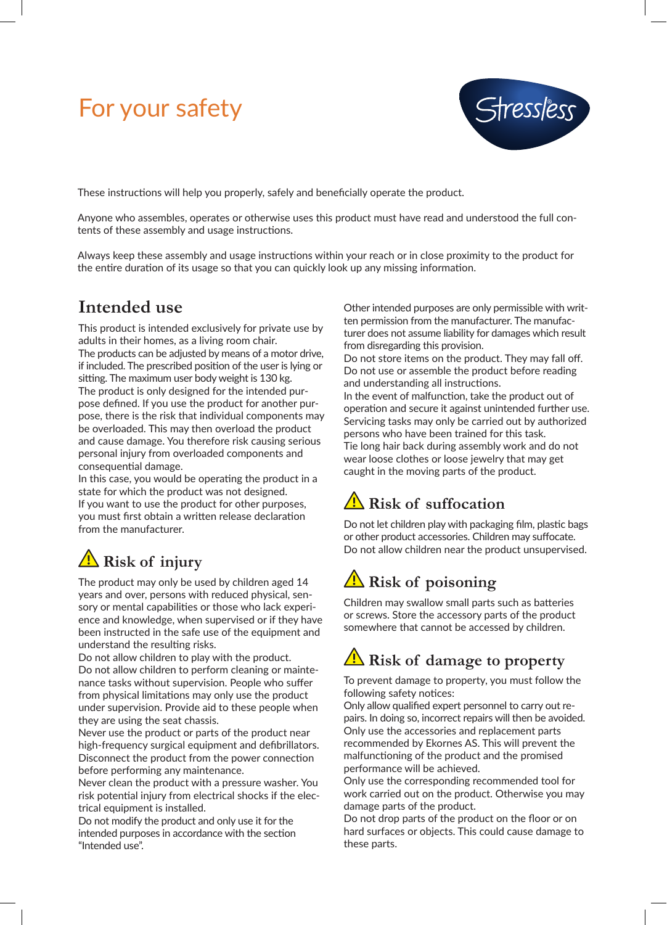# For your safety



These instructions will help you properly, safely and beneficially operate the product.

Anyone who assembles, operates or otherwise uses this product must have read and understood the full contents of these assembly and usage instructions.

Always keep these assembly and usage instructions within your reach or in close proximity to the product for the entire duration of its usage so that you can quickly look up any missing information.

#### **Intended use**

This product is intended exclusively for private use by adults in their homes, as a living room chair. The products can be adjusted by means of a motor drive, if included. The prescribed position of the user is lying or sitting. The maximum user body weight is 130 kg. The product is only designed for the intended purpose defined. If you use the product for another purpose, there is the risk that individual components may be overloaded. This may then overload the product and cause damage. You therefore risk causing serious personal injury from overloaded components and consequential damage.

In this case, you would be operating the product in a state for which the product was not designed. If you want to use the product for other purposes, you must first obtain a written release declaration from the manufacturer.

## **Risk of injury**

The product may only be used by children aged 14 years and over, persons with reduced physical, sensory or mental capabilities or those who lack experience and knowledge, when supervised or if they have been instructed in the safe use of the equipment and understand the resulting risks.

Do not allow children to play with the product. Do not allow children to perform cleaning or maintenance tasks without supervision. People who suffer from physical limitations may only use the product under supervision. Provide aid to these people when they are using the seat chassis.

Never use the product or parts of the product near high-frequency surgical equipment and defibrillators. Disconnect the product from the power connection before performing any maintenance.

Never clean the product with a pressure washer. You risk potential injury from electrical shocks if the electrical equipment is installed.

Do not modify the product and only use it for the intended purposes in accordance with the section "Intended use".

Other intended purposes are only permissible with written permission from the manufacturer. The manufacturer does not assume liability for damages which result from disregarding this provision.

Do not store items on the product. They may fall off. Do not use or assemble the product before reading and understanding all instructions. In the event of malfunction, take the product out of operation and secure it against unintended further use. Servicing tasks may only be carried out by authorized persons who have been trained for this task. Tie long hair back during assembly work and do not wear loose clothes or loose jewelry that may get caught in the moving parts of the product.

## **Risk of suffocation**

Do not let children play with packaging film, plastic bags or other product accessories. Children may suffocate. Do not allow children near the product unsupervised.

# **Risk of poisoning**

Children may swallow small parts such as batteries or screws. Store the accessory parts of the product somewhere that cannot be accessed by children.

## **Risk of damage to property**

To prevent damage to property, you must follow the following safety notices:

Only allow qualified expert personnel to carry out repairs. In doing so, incorrect repairs will then be avoided. Only use the accessories and replacement parts recommended by Ekornes AS. This will prevent the malfunctioning of the product and the promised performance will be achieved.

Only use the corresponding recommended tool for work carried out on the product. Otherwise you may damage parts of the product.

Do not drop parts of the product on the floor or on hard surfaces or objects. This could cause damage to these parts.